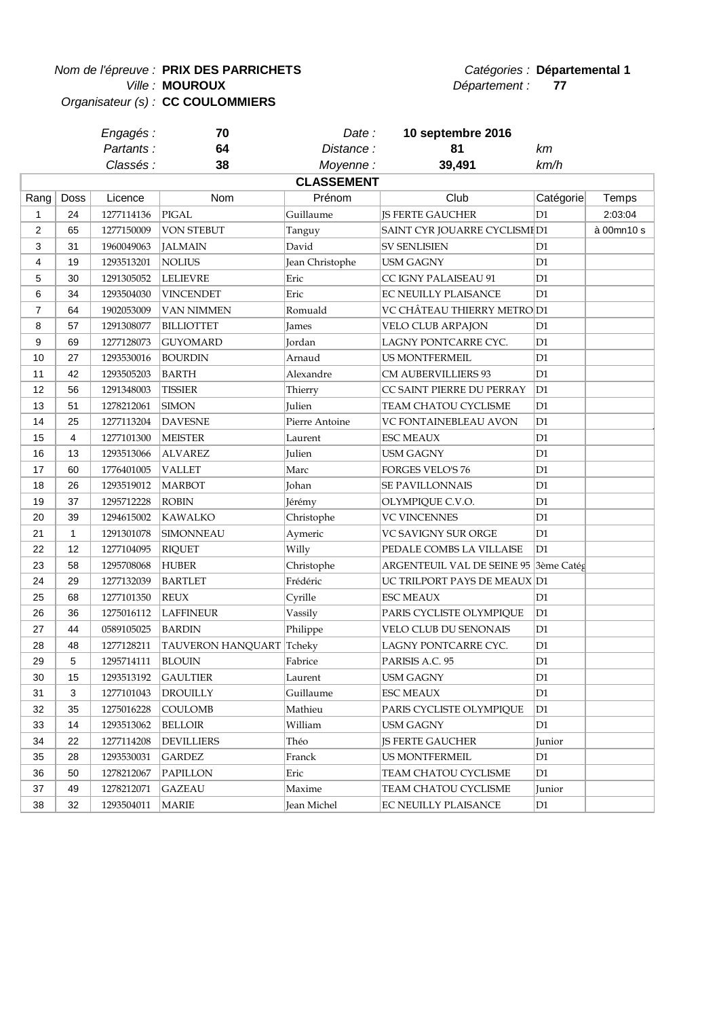**Nom de l'épreuve : PRIX DES PARRICHETS Départemental 1** 

**MOUROUX**

Ville : **MOUROUX** and the set of the set of the set of the set of the set of the set of the set of the set of the set of the set of the set of the set of the set of the set of the set of the set of the set of the set of th

Organisateur (s) : **CC COULOMMIERS**

| Engagés :  |    | Date :            | 10 septembre 2016 |      |
|------------|----|-------------------|-------------------|------|
| Partants : | 64 | Distance :        |                   | кm   |
| Classés :  | 38 | Movenne :         | 39.491            | km/h |
|            |    | <b>CLASSEMENT</b> |                   |      |

| Rang           | <b>Doss</b>    | Licence    | Nom                      | Prénom          | Club                          | Catégorie      | Temps      |
|----------------|----------------|------------|--------------------------|-----------------|-------------------------------|----------------|------------|
| $\mathbf{1}$   | 24             | 1277114136 | <b>PIGAL</b>             | Guillaume       | <b>JS FERTE GAUCHER</b>       | D <sub>1</sub> | 2:03:04    |
| $\overline{2}$ | 65             | 1277150009 | <b>VON STEBUT</b>        | Tanguy          | SAINT CYR JOUARRE CYCLISMI D1 |                | à 00mn10 s |
| 3              | 31             | 1960049063 | <b>JALMAIN</b>           | David           | <b>SV SENLISIEN</b>           | D <sub>1</sub> |            |
| 4              | 19             | 1293513201 | <b>NOLIUS</b>            | Jean Christophe | <b>USM GAGNY</b>              | D <sub>1</sub> |            |
| 5              | 30             | 1291305052 | <b>LELIEVRE</b>          | Eric            | CC IGNY PALAISEAU 91          | D <sub>1</sub> |            |
| $\,6$          | 34             | 1293504030 | <b>VINCENDET</b>         | Eric            | EC NEUILLY PLAISANCE          | D <sub>1</sub> |            |
| $\overline{7}$ | 64             | 1902053009 | VAN NIMMEN               | Romuald         | VC CHÂTEAU THIERRY METRO D1   |                |            |
| 8              | 57             | 1291308077 | <b>BILLIOTTET</b>        | James           | VELO CLUB ARPAJON             | D <sub>1</sub> |            |
| 9              | 69             | 1277128073 | <b>GUYOMARD</b>          | Jordan          | LAGNY PONTCARRE CYC.          | D <sub>1</sub> |            |
| 10             | 27             | 1293530016 | <b>BOURDIN</b>           | Arnaud          | <b>US MONTFERMEIL</b>         | D <sub>1</sub> |            |
| 11             | 42             | 1293505203 | <b>BARTH</b>             | Alexandre       | <b>CM AUBERVILLIERS 93</b>    | D <sub>1</sub> |            |
| 12             | 56             | 1291348003 | <b>TISSIER</b>           | Thierry         | CC SAINT PIERRE DU PERRAY     | D1             |            |
| 13             | 51             | 1278212061 | <b>SIMON</b>             | Julien          | TEAM CHATOU CYCLISME          | D <sub>1</sub> |            |
| 14             | 25             | 1277113204 | <b>DAVESNE</b>           | Pierre Antoine  | VC FONTAINEBLEAU AVON         | D <sub>1</sub> |            |
| 15             | $\overline{4}$ | 1277101300 | <b>MEISTER</b>           | Laurent         | <b>ESC MEAUX</b>              | D <sub>1</sub> |            |
| 16             | 13             | 1293513066 | <b>ALVAREZ</b>           | Julien          | <b>USM GAGNY</b>              | D <sub>1</sub> |            |
| 17             | 60             | 1776401005 | <b>VALLET</b>            | Marc            | <b>FORGES VELO'S 76</b>       | D <sub>1</sub> |            |
| 18             | 26             | 1293519012 | <b>MARBOT</b>            | Johan           | <b>SE PAVILLONNAIS</b>        | D <sub>1</sub> |            |
| 19             | 37             | 1295712228 | <b>ROBIN</b>             | Jérémy          | OLYMPIQUE C.V.O.              | D1             |            |
| 20             | 39             | 1294615002 | <b>KAWALKO</b>           | Christophe      | <b>VC VINCENNES</b>           | D <sub>1</sub> |            |
| 21             | $\mathbf{1}$   | 1291301078 | <b>SIMONNEAU</b>         | Aymeric         | VC SAVIGNY SUR ORGE           | D <sub>1</sub> |            |
| 22             | 12             | 1277104095 | <b>RIQUET</b>            | Willy           | PEDALE COMBS LA VILLAISE      | D <sub>1</sub> |            |
| 23             | 58             | 1295708068 | <b>HUBER</b>             | Christophe      | ARGENTEUIL VAL DE SEINE 95    | 3ème Catég     |            |
| 24             | 29             | 1277132039 | <b>BARTLET</b>           | Frédéric        | UC TRILPORT PAYS DE MEAUX D1  |                |            |
| 25             | 68             | 1277101350 | <b>REUX</b>              | Cyrille         | <b>ESC MEAUX</b>              | D1             |            |
| 26             | 36             | 1275016112 | <b>LAFFINEUR</b>         | Vassily         | PARIS CYCLISTE OLYMPIQUE      | D <sub>1</sub> |            |
| 27             | 44             | 0589105025 | <b>BARDIN</b>            | Philippe        | VELO CLUB DU SENONAIS         | D <sub>1</sub> |            |
| 28             | 48             | 1277128211 | TAUVERON HANQUART Tcheky |                 | LAGNY PONTCARRE CYC.          | D <sub>1</sub> |            |
| 29             | 5              | 1295714111 | <b>BLOUIN</b>            | Fabrice         | PARISIS A.C. 95               | D1             |            |
| 30             | 15             | 1293513192 | <b>GAULTIER</b>          | Laurent         | USM GAGNY                     | D <sub>1</sub> |            |
| 31             | 3              | 1277101043 | <b>DROUILLY</b>          | Guillaume       | <b>ESC MEAUX</b>              | D <sub>1</sub> |            |
| 32             | 35             | 1275016228 | COULOMB                  | Mathieu         | PARIS CYCLISTE OLYMPIQUE      | D <sub>1</sub> |            |
| 33             | 14             | 1293513062 | <b>BELLOIR</b>           | William         | <b>USM GAGNY</b>              | D <sub>1</sub> |            |
| 34             | 22             | 1277114208 | <b>DEVILLIERS</b>        | Théo            | JS FERTE GAUCHER              | Junior         |            |
| 35             | 28             | 1293530031 | <b>GARDEZ</b>            | Franck          | US MONTFERMEIL                | D1             |            |
| 36             | 50             | 1278212067 | <b>PAPILLON</b>          | Eric            | TEAM CHATOU CYCLISME          | D <sub>1</sub> |            |
| 37             | 49             | 1278212071 | <b>GAZEAU</b>            | Maxime          | TEAM CHATOU CYCLISME          | Junior         |            |
| 38             | 32             | 1293504011 | <b>MARIE</b>             | Jean Michel     | EC NEUILLY PLAISANCE          | D <sub>1</sub> |            |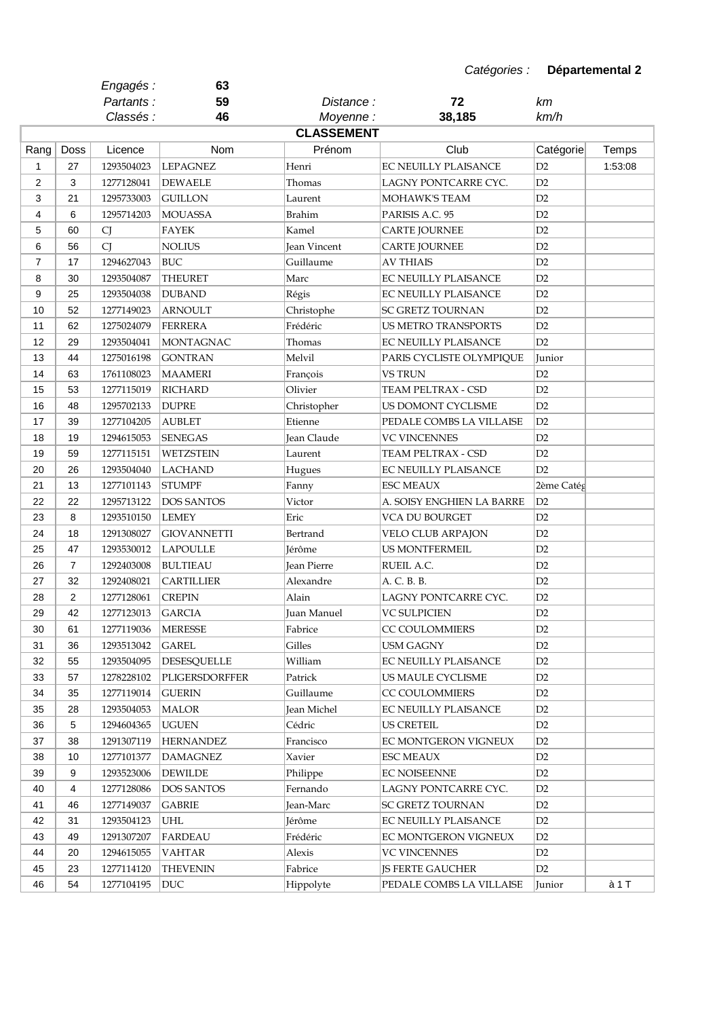|                |                  | Engagés :  | 63                 |                     |                            |                |         |
|----------------|------------------|------------|--------------------|---------------------|----------------------------|----------------|---------|
|                |                  | Partants:  | 59                 | Distance:           | 72                         | km             |         |
|                |                  | Classés :  | 46                 | Moyenne:            | 38,185                     | km/h           |         |
|                |                  |            |                    | <b>CLASSEMENT</b>   |                            |                |         |
| Rang           | Doss             | Licence    | Nom                | Prénom              | Club                       | Catégorie      | Temps   |
| 1              | 27               | 1293504023 | <b>LEPAGNEZ</b>    | Henri               | EC NEUILLY PLAISANCE       | D2             | 1:53:08 |
| $\overline{2}$ | 3                | 1277128041 | <b>DEWAELE</b>     | Thomas              | LAGNY PONTCARRE CYC.       | D2             |         |
| 3              | 21               | 1295733003 | <b>GUILLON</b>     | Laurent             | MOHAWK'S TEAM              | D2             |         |
| 4              | 6                | 1295714203 | <b>MOUASSA</b>     | <b>Brahim</b>       | PARISIS A.C. 95            | D2             |         |
| 5              | 60               | CJ         | <b>FAYEK</b>       | Kamel               | <b>CARTE JOURNEE</b>       | D2             |         |
| 6              | 56               | CJ         | <b>NOLIUS</b>      | <b>Jean Vincent</b> | <b>CARTE JOURNEE</b>       | D2             |         |
| $\overline{7}$ | 17               | 1294627043 | <b>BUC</b>         | Guillaume           | <b>AV THIAIS</b>           | D2             |         |
| 8              | 30               | 1293504087 | <b>THEURET</b>     | Marc                | EC NEUILLY PLAISANCE       | D2             |         |
| 9              | 25               | 1293504038 | <b>DUBAND</b>      | Régis               | EC NEUILLY PLAISANCE       | D2             |         |
| 10             | 52               | 1277149023 | <b>ARNOULT</b>     | Christophe          | SC GRETZ TOURNAN           | D2             |         |
| 11             | 62               | 1275024079 | <b>FERRERA</b>     | Frédéric            | <b>US METRO TRANSPORTS</b> | D2             |         |
| 12             | 29               | 1293504041 | <b>MONTAGNAC</b>   | Thomas              | EC NEUILLY PLAISANCE       | D2             |         |
| 13             | 44               | 1275016198 | <b>GONTRAN</b>     | Melvil              | PARIS CYCLISTE OLYMPIQUE   | Junior         |         |
| 14             | 63               | 1761108023 | <b>MAAMERI</b>     | François            | <b>VS TRUN</b>             | D2             |         |
| 15             | 53               | 1277115019 | <b>RICHARD</b>     | Olivier             | TEAM PELTRAX - CSD         | D2             |         |
| 16             | 48               | 1295702133 | <b>DUPRE</b>       | Christopher         | US DOMONT CYCLISME         | D2             |         |
| 17             | 39               | 1277104205 | <b>AUBLET</b>      | Etienne             | PEDALE COMBS LA VILLAISE   | D2             |         |
| 18             | 19               | 1294615053 | <b>SENEGAS</b>     | Jean Claude         | <b>VC VINCENNES</b>        | D2             |         |
| 19             | 59               | 1277115151 | <b>WETZSTEIN</b>   | Laurent             | TEAM PELTRAX - CSD         | D2             |         |
| 20             | 26               | 1293504040 | <b>LACHAND</b>     | Hugues              | EC NEUILLY PLAISANCE       | D2             |         |
| 21             | 13               | 1277101143 | <b>STUMPF</b>      | Fanny               | <b>ESC MEAUX</b>           | 2ème Catég     |         |
| 22             | 22               | 1295713122 | <b>DOS SANTOS</b>  | Victor              | A. SOISY ENGHIEN LA BARRE  | D2             |         |
| 23             | 8                | 1293510150 | <b>LEMEY</b>       | Eric                | VCA DU BOURGET             | D2             |         |
| 24             | 18               | 1291308027 | <b>GIOVANNETTI</b> | Bertrand            | VELO CLUB ARPAJON          | D2             |         |
| 25             | 47               | 1293530012 | <b>LAPOULLE</b>    | Jérôme              | <b>US MONTFERMEIL</b>      | D2             |         |
| 26             | 7                | 1292403008 | <b>BULTIEAU</b>    | <b>Jean Pierre</b>  | RUEIL A.C.                 | D2             |         |
| 27             | 32               | 1292408021 | <b>CARTILLIER</b>  | Alexandre           | A. C. B. B.                | D2             |         |
| 28             | $\boldsymbol{2}$ | 1277128061 | <b>CREPIN</b>      | Alain               | LAGNY PONTCARRE CYC.       | D2             |         |
| 29             | 42               | 1277123013 | <b>GARCIA</b>      | Juan Manuel         | <b>VC SULPICIEN</b>        | D2             |         |
| 30             | 61               | 1277119036 | <b>MERESSE</b>     | Fabrice             | CC COULOMMIERS             | D2             |         |
| 31             | 36               | 1293513042 | <b>GAREL</b>       | Gilles              | <b>USM GAGNY</b>           | D2             |         |
| 32             | 55               | 1293504095 | <b>DESESQUELLE</b> | William             | EC NEUILLY PLAISANCE       | D2             |         |
| 33             | 57               | 1278228102 | PLIGERSDORFFER     | Patrick             | US MAULE CYCLISME          | D <sub>2</sub> |         |
| 34             | 35               | 1277119014 | <b>GUERIN</b>      | Guillaume           | CC COULOMMIERS             | D2             |         |
| 35             | 28               | 1293504053 | <b>MALOR</b>       | Jean Michel         | EC NEUILLY PLAISANCE       | D2             |         |
| 36             | 5                | 1294604365 | <b>UGUEN</b>       | Cédric              | <b>US CRETEIL</b>          | D2             |         |
| 37             | 38               | 1291307119 | <b>HERNANDEZ</b>   | Francisco           | EC MONTGERON VIGNEUX       | D <sub>2</sub> |         |
| 38             | 10               | 1277101377 | <b>DAMAGNEZ</b>    | Xavier              | <b>ESC MEAUX</b>           | D <sub>2</sub> |         |
| 39             | 9                | 1293523006 | <b>DEWILDE</b>     |                     | <b>EC NOISEENNE</b>        | D <sub>2</sub> |         |
|                |                  |            |                    | Philippe            |                            |                |         |
| 40             | 4                | 1277128086 | <b>DOS SANTOS</b>  | Fernando            | LAGNY PONTCARRE CYC.       | D <sub>2</sub> |         |
| 41             | 46               | 1277149037 | <b>GABRIE</b>      | Jean-Marc           | SC GRETZ TOURNAN           | D2             |         |
| 42             | 31               | 1293504123 | UHL                | Jérôme              | EC NEUILLY PLAISANCE       | D <sub>2</sub> |         |
| 43             | 49               | 1291307207 | <b>FARDEAU</b>     | Frédéric            | EC MONTGERON VIGNEUX       | D <sub>2</sub> |         |
| 44             | 20               | 1294615055 | VAHTAR             | Alexis              | <b>VC VINCENNES</b>        | D2             |         |
| 45             | 23               | 1277114120 | <b>THEVENIN</b>    | Fabrice             | <b>JS FERTE GAUCHER</b>    | D <sub>2</sub> |         |
| 46             | 54               | 1277104195 | <b>DUC</b>         | Hippolyte           | PEDALE COMBS LA VILLAISE   | Junior         | à 1 T   |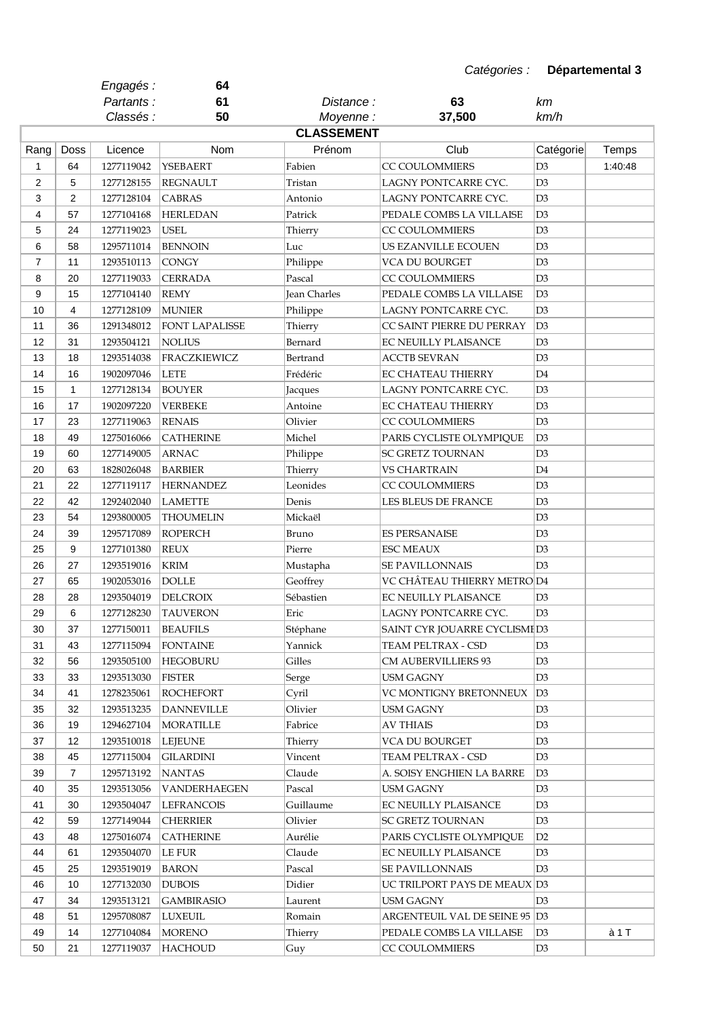|                |                | Engagés :                | 64                                |                   |                                              |                                  |         |
|----------------|----------------|--------------------------|-----------------------------------|-------------------|----------------------------------------------|----------------------------------|---------|
|                |                | Partants:                | 61                                | Distance :        | 63                                           | kт                               |         |
|                |                | Classés :                | 50                                | Moyenne:          | 37,500                                       | km/h                             |         |
|                |                |                          |                                   | <b>CLASSEMENT</b> |                                              |                                  |         |
| Rang           | Doss           | Licence                  | Nom                               | Prénom            | Club                                         | Catégorie                        | Temps   |
| 1              | 64             | 1277119042               | <b>YSEBAERT</b>                   | Fabien            | CC COULOMMIERS                               | D <sub>3</sub>                   | 1:40:48 |
| $\overline{2}$ | 5              | 1277128155               | <b>REGNAULT</b>                   | Tristan           | LAGNY PONTCARRE CYC.                         | D <sub>3</sub>                   |         |
| 3              | 2              | 1277128104               | <b>CABRAS</b>                     | Antonio           | LAGNY PONTCARRE CYC.                         | D <sub>3</sub>                   |         |
| 4              | 57             | 1277104168               | <b>HERLEDAN</b>                   | Patrick           | PEDALE COMBS LA VILLAISE                     | D3                               |         |
| 5              | 24             | 1277119023               | <b>USEL</b>                       | Thierry           | CC COULOMMIERS                               | D3                               |         |
| 6              | 58             | 1295711014               | <b>BENNOIN</b>                    | Luc               | US EZANVILLE ECOUEN                          | D <sub>3</sub>                   |         |
| $\overline{7}$ | 11             | 1293510113               | CONGY                             | Philippe          | VCA DU BOURGET                               | D3                               |         |
| 8              | 20             | 1277119033               | <b>CERRADA</b>                    | Pascal            | CC COULOMMIERS                               | D <sub>3</sub>                   |         |
| 9              | 15             | 1277104140               | <b>REMY</b>                       | Jean Charles      | PEDALE COMBS LA VILLAISE                     | D3                               |         |
| 10             | $\overline{4}$ | 1277128109               | <b>MUNIER</b>                     | Philippe          | LAGNY PONTCARRE CYC.                         | D3                               |         |
| 11             | 36             | 1291348012               | <b>FONT LAPALISSE</b>             | Thierry           | CC SAINT PIERRE DU PERRAY                    | D3                               |         |
| 12             | 31             | 1293504121               | <b>NOLIUS</b>                     | Bernard           | EC NEUILLY PLAISANCE                         | D <sub>3</sub>                   |         |
| 13             | 18             | 1293514038               | <b>FRACZKIEWICZ</b>               | Bertrand          | <b>ACCTB SEVRAN</b>                          | D3                               |         |
| 14             | 16             | 1902097046               | <b>LETE</b>                       | Frédéric          | EC CHATEAU THIERRY                           | D4                               |         |
| 15             | 1              | 1277128134               | <b>BOUYER</b>                     | Jacques           | LAGNY PONTCARRE CYC.                         | D3                               |         |
| 16             | 17             | 1902097220               | <b>VERBEKE</b>                    | Antoine           | EC CHATEAU THIERRY                           | D <sub>3</sub>                   |         |
| 17             | 23             | 1277119063               | <b>RENAIS</b>                     | Olivier           | CC COULOMMIERS                               | D3                               |         |
| 18             | 49             | 1275016066               | <b>CATHERINE</b>                  | Michel            | PARIS CYCLISTE OLYMPIQUE                     | D <sub>3</sub>                   |         |
| 19             | 60             | 1277149005               | <b>ARNAC</b>                      | Philippe          | SC GRETZ TOURNAN                             | D <sub>3</sub>                   |         |
| 20             | 63             | 1828026048               | <b>BARBIER</b>                    | Thierry           | VS CHARTRAIN                                 | D4                               |         |
| 21             | 22             | 1277119117               | <b>HERNANDEZ</b>                  | Leonides          | <b>CC COULOMMIERS</b>                        | D <sub>3</sub>                   |         |
| 22             | 42             | 1292402040               | <b>LAMETTE</b>                    | Denis             | LES BLEUS DE FRANCE                          | D3                               |         |
| 23             | 54             | 1293800005               | <b>THOUMELIN</b>                  | Mickaël           |                                              | D3                               |         |
| 24             | 39             | 1295717089               | <b>ROPERCH</b>                    | Bruno             | <b>ES PERSANAISE</b>                         | D <sub>3</sub>                   |         |
| 25             | 9              | 1277101380               | <b>REUX</b>                       | Pierre            | <b>ESC MEAUX</b>                             | D3                               |         |
| 26             | 27             | 1293519016               | <b>KRIM</b>                       | Mustapha          | <b>SE PAVILLONNAIS</b>                       | D3                               |         |
| 27             | 65             | 1902053016               | <b>DOLLE</b>                      | Geoffrey          | VC CHÂTEAU THIERRY METRO D4                  |                                  |         |
| 28             |                |                          |                                   |                   |                                              | D3                               |         |
| 29             | 28<br>6        | 1293504019<br>1277128230 | DELCROIX<br><b>TAUVERON</b>       | Sébastien<br>Eric | EC NEUILLY PLAISANCE<br>LAGNY PONTCARRE CYC. | D <sub>3</sub>                   |         |
| 30             | 37             |                          | <b>BEAUFILS</b>                   | Stéphane          | SAINT CYR JOUARRE CYCLISMED3                 |                                  |         |
| 31             | 43             | 1277150011<br>1277115094 |                                   | Yannick           | TEAM PELTRAX - CSD                           | D <sub>3</sub>                   |         |
|                |                | 1293505100               | <b>FONTAINE</b>                   |                   |                                              |                                  |         |
| 32             | 56             |                          | <b>HEGOBURU</b><br><b>FISTER</b>  | Gilles            | CM AUBERVILLIERS 93                          | D3<br>D <sub>3</sub>             |         |
| 33<br>34       | 33<br>41       | 1293513030               |                                   | Serge             | <b>USM GAGNY</b><br>VC MONTIGNY BRETONNEUX   | $D_3$                            |         |
| 35             | 32             | 1278235061<br>1293513235 | ROCHEFORT                         | Cyril             |                                              | D <sub>3</sub>                   |         |
|                |                |                          | <b>DANNEVILLE</b>                 | Olivier           | USM GAGNY                                    |                                  |         |
| 36             | 19             | 1294627104               | <b>MORATILLE</b>                  | Fabrice           | <b>AV THIAIS</b><br><b>VCA DU BOURGET</b>    | D <sub>3</sub><br>D <sub>3</sub> |         |
| 37<br>38       | 12<br>45       | 1293510018               | LEJEUNE                           | Thierry           |                                              | D <sub>3</sub>                   |         |
|                | $\overline{7}$ | 1277115004               | <b>GILARDINI</b><br><b>NANTAS</b> | Vincent           | TEAM PELTRAX - CSD                           | D <sub>3</sub>                   |         |
| 39             | 35             | 1295713192               |                                   | Claude            | A. SOISY ENGHIEN LA BARRE                    | D <sub>3</sub>                   |         |
| 40             |                | 1293513056               | VANDERHAEGEN                      | Pascal            | <b>USM GAGNY</b>                             |                                  |         |
| 41             | 30             | 1293504047               | <b>LEFRANCOIS</b>                 | Guillaume         | EC NEUILLY PLAISANCE                         | D <sub>3</sub>                   |         |
| 42             | 59             | 1277149044               | <b>CHERRIER</b>                   | Olivier           | <b>SC GRETZ TOURNAN</b>                      | D <sub>3</sub>                   |         |
| 43             | 48             | 1275016074               | <b>CATHERINE</b>                  | Aurélie           | PARIS CYCLISTE OLYMPIQUE                     | D <sub>2</sub>                   |         |
| 44             | 61             | 1293504070               | LE FUR                            | Claude            | EC NEUILLY PLAISANCE                         | D <sub>3</sub>                   |         |
| 45             | 25             | 1293519019               | <b>BARON</b>                      | Pascal            | SE PAVILLONNAIS                              | D <sub>3</sub>                   |         |
| 46             | 10             | 1277132030               | <b>DUBOIS</b>                     | Didier            | UC TRILPORT PAYS DE MEAUX D3                 |                                  |         |
| 47             | 34             | 1293513121               | <b>GAMBIRASIO</b>                 | Laurent           | <b>USM GAGNY</b>                             | D <sub>3</sub>                   |         |
| 48             | 51             | 1295708087               | <b>LUXEUIL</b>                    | Romain            | ARGENTEUIL VAL DE SEINE 95 D3                |                                  |         |
| 49             | 14             | 1277104084               | <b>MORENO</b>                     | Thierry           | PEDALE COMBS LA VILLAISE                     | D <sub>3</sub>                   | à 1 T   |
| 50             | 21             | 1277119037               | <b>HACHOUD</b>                    | Guy               | CC COULOMMIERS                               | D <sub>3</sub>                   |         |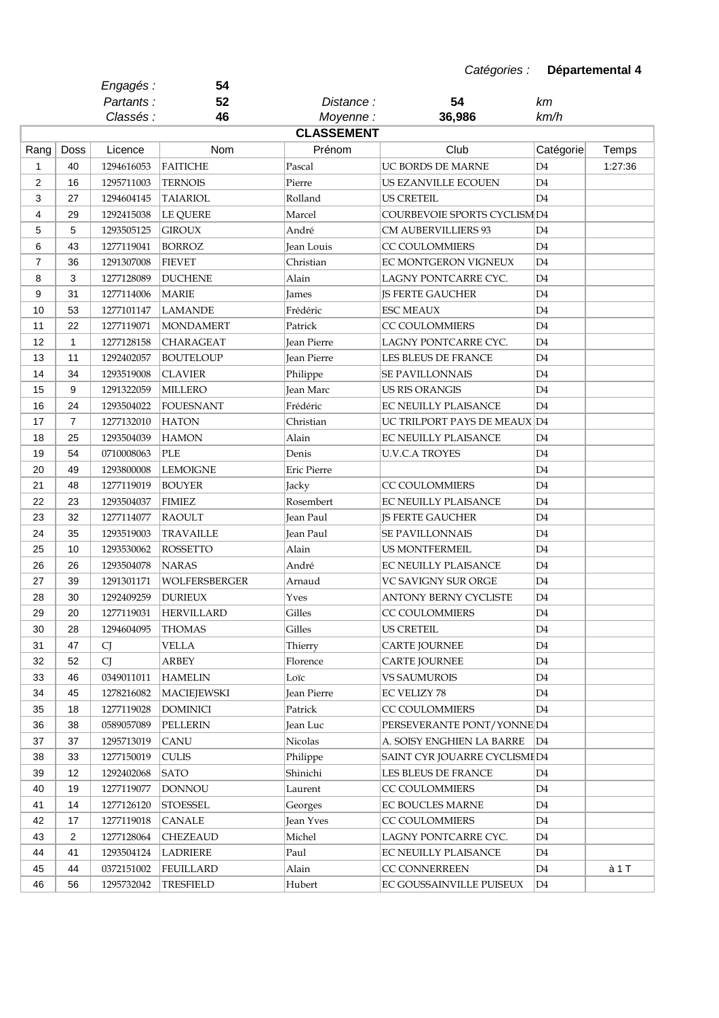|                |                | Engagés :  | 54                 |                    |                                     |                |         |
|----------------|----------------|------------|--------------------|--------------------|-------------------------------------|----------------|---------|
|                |                | Partants:  | 52                 | Distance :         | 54                                  | km             |         |
|                |                | Classés :  | 46                 | Moyenne:           | 36,986                              | km/h           |         |
|                |                |            |                    | <b>CLASSEMENT</b>  |                                     |                |         |
| Rang           | Doss           | Licence    | Nom                | Prénom             | Club                                | Catégorie      | Temps   |
| $\mathbf{1}$   | 40             | 1294616053 | <b>FAITICHE</b>    | Pascal             | UC BORDS DE MARNE                   | D4             | 1:27:36 |
| $\mathbf{2}$   | 16             | 1295711003 | <b>TERNOIS</b>     | Pierre             | US EZANVILLE ECOUEN                 | D4             |         |
| 3              | 27             | 1294604145 | TAIARIOL           | Rolland            | US CRETEIL                          | D4             |         |
| 4              | 29             | 1292415038 | LE QUERE           | Marcel             | <b>COURBEVOIE SPORTS CYCLISM D4</b> |                |         |
| 5              | 5              | 1293505125 | <b>GIROUX</b>      | André              | <b>CM AUBERVILLIERS 93</b>          | D <sub>4</sub> |         |
| 6              | 43             | 1277119041 | <b>BORROZ</b>      | Jean Louis         | <b>CC COULOMMIERS</b>               | D4             |         |
| $\overline{7}$ | 36             | 1291307008 | <b>FIEVET</b>      | Christian          | EC MONTGERON VIGNEUX                | D4             |         |
| 8              | 3              | 1277128089 | <b>DUCHENE</b>     | Alain              | LAGNY PONTCARRE CYC.                | D4             |         |
| 9              | 31             | 1277114006 | <b>MARIE</b>       | James              | <b>JS FERTE GAUCHER</b>             | D4             |         |
| 10             | 53             | 1277101147 | <b>LAMANDE</b>     | Frédéric           | <b>ESC MEAUX</b>                    | D4             |         |
| 11             | 22             | 1277119071 | <b>MONDAMERT</b>   | Patrick            | <b>CC COULOMMIERS</b>               | D4             |         |
| 12             | 1              | 1277128158 | <b>CHARAGEAT</b>   | <b>Jean Pierre</b> | LAGNY PONTCARRE CYC.                | D4             |         |
| 13             | 11             | 1292402057 | <b>BOUTELOUP</b>   | Jean Pierre        | <b>LES BLEUS DE FRANCE</b>          | D4             |         |
| 14             | 34             | 1293519008 | <b>CLAVIER</b>     | Philippe           | <b>SE PAVILLONNAIS</b>              | D4             |         |
| 15             | 9              | 1291322059 | <b>MILLERO</b>     | Jean Marc          | <b>US RIS ORANGIS</b>               | D4             |         |
| 16             | 24             | 1293504022 | <b>FOUESNANT</b>   | Frédéric           | EC NEUILLY PLAISANCE                | D4             |         |
| 17             | $\overline{7}$ | 1277132010 | <b>HATON</b>       | Christian          | UC TRILPORT PAYS DE MEAUX D4        |                |         |
| 18             | 25             | 1293504039 | <b>HAMON</b>       | Alain              | EC NEUILLY PLAISANCE                | D <sub>4</sub> |         |
| 19             | 54             | 0710008063 | PLE                | Denis              | <b>U.V.C.A TROYES</b>               | D4             |         |
| 20             | 49             | 1293800008 | <b>LEMOIGNE</b>    | Eric Pierre        |                                     | D4             |         |
| 21             | 48             | 1277119019 | <b>BOUYER</b>      | Jacky              | CC COULOMMIERS                      | D4             |         |
| 22             | 23             | 1293504037 | <b>FIMIEZ</b>      | Rosembert          | <b>EC NEUILLY PLAISANCE</b>         | D4             |         |
| 23             | 32             | 1277114077 | RAOULT             | Jean Paul          | <b>JS FERTE GAUCHER</b>             | D4             |         |
| 24             | 35             | 1293519003 | <b>TRAVAILLE</b>   | Jean Paul          | <b>SE PAVILLONNAIS</b>              | D4             |         |
| 25             | 10             | 1293530062 | <b>ROSSETTO</b>    | Alain              | <b>US MONTFERMEIL</b>               | D4             |         |
| 26             | 26             | 1293504078 | <b>NARAS</b>       | André              | <b>EC NEUILLY PLAISANCE</b>         | D4             |         |
| 27             | 39             | 1291301171 | WOLFERSBERGER      | Arnaud             | VC SAVIGNY SUR ORGE                 | D4             |         |
| 28             | 30             | 1292409259 | <b>DURIEUX</b>     | Yves               | ANTONY BERNY CYCLISTE               | D4             |         |
| 29             | 20             | 1277119031 | <b>HERVILLARD</b>  | Gilles             | CC COULOMMIERS                      | D4             |         |
| 30             | 28             | 1294604095 | <b>THOMAS</b>      | Gilles             | US CRETEIL                          | D4             |         |
| 31             | 47             | CJ         | VELLA              | Thierry            | <b>CARTE JOURNEE</b>                | D4             |         |
| 32             | 52             | CJ         | <b>ARBEY</b>       | Florence           | <b>CARTE JOURNEE</b>                | D4             |         |
| 33             | 46             | 0349011011 | <b>HAMELIN</b>     | Loïc               | <b>VS SAUMUROIS</b>                 | D4             |         |
| 34             | 45             | 1278216082 | <b>MACIEJEWSKI</b> | Jean Pierre        | EC VELIZY 78                        | D4             |         |
| 35             | 18             | 1277119028 | <b>DOMINICI</b>    | Patrick            | CC COULOMMIERS                      | D <sub>4</sub> |         |
|                |                |            |                    |                    |                                     |                |         |
| 36             | 38             | 0589057089 | PELLERIN           | Jean Luc           | PERSEVERANTE PONT/YONNE D4          |                |         |
| 37             | 37             | 1295713019 | <b>CANU</b>        | Nicolas            | A. SOISY ENGHIEN LA BARRE           | D4             |         |
| 38             | 33             | 1277150019 | <b>CULIS</b>       | Philippe           | SAINT CYR JOUARRE CYCLISMI D4       |                |         |
| 39             | 12             | 1292402068 | SATO               | Shinichi           | LES BLEUS DE FRANCE                 | D4             |         |
| 40             | 19             | 1277119077 | <b>DONNOU</b>      | Laurent            | CC COULOMMIERS                      | D4             |         |
| 41             | 14             | 1277126120 | <b>STOESSEL</b>    | Georges            | EC BOUCLES MARNE                    | D4             |         |
| 42             | 17             | 1277119018 | <b>CANALE</b>      | Jean Yves          | CC COULOMMIERS                      | D4             |         |
| 43             | 2              | 1277128064 | CHEZEAUD           | Michel             | LAGNY PONTCARRE CYC.                | D4             |         |
| 44             | 41             | 1293504124 | <b>LADRIERE</b>    | Paul               | EC NEUILLY PLAISANCE                | D4             |         |
| 45             | 44             | 0372151002 | <b>FEUILLARD</b>   | Alain              | CC CONNERREEN                       | D4             | à 1 T   |
| 46             | 56             | 1295732042 | <b>TRESFIELD</b>   | Hubert             | EC GOUSSAINVILLE PUISEUX            | D4             |         |